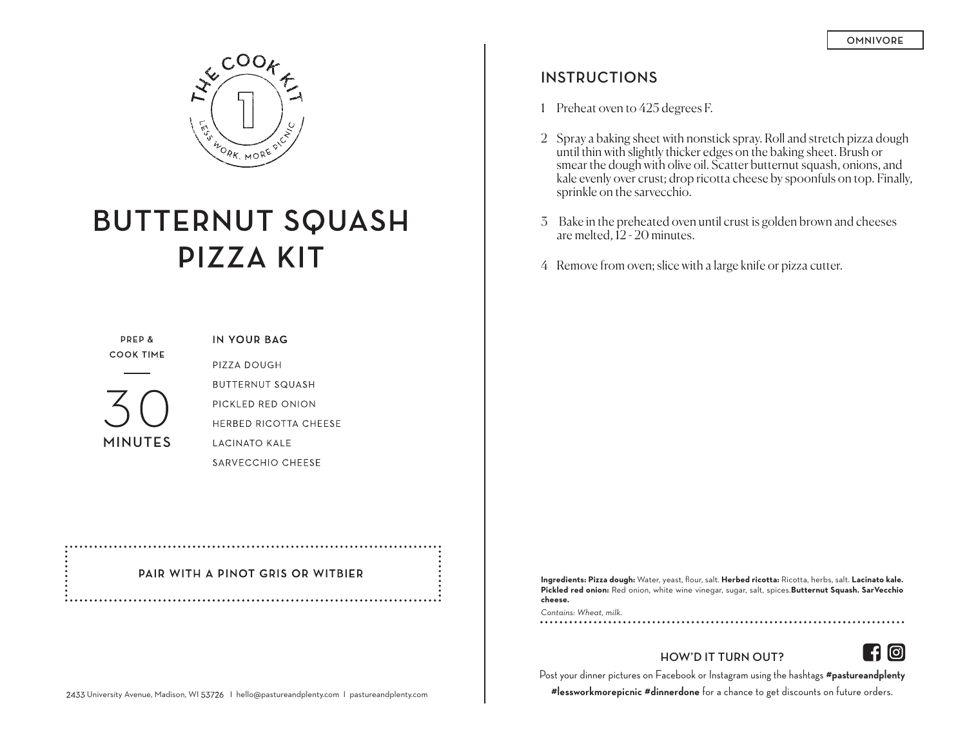

# **BUTTERNUT SQUASH PIZZA KIT**

**PREP & COOK TIME** 

**MINUTES**

IN YOUR BAG PIZZA DOUGH **BUTTERNUT SQUASH** PICKLED RED ONION **HERBED RICOTTA CHEESE LACINATO KALE** SARVECCHIO CHEESE

PAIR WITH A PINOT GRIS OR WITBIER 

## **INSTRUCTIONS**

- 1 Preheat oven to 425 degrees F.
- 2 Spray a baking sheet with nonstick spray. Roll and stretch pizza dough until thin with slightly thicker edges on the baking sheet. Brush or smear the dough with olive oil. Scatter butternut squash, onions, and kale evenly over crust; drop ricotta cheese by spoonfuls on top. Finally, sprinkle on the sarvecchio.
- 3 Bake in the preheated oven until crust is golden brown and cheeses are melted, 12 - 20 minutes.
- 4 Remove from oven; slice with a large knife or pizza cutter.

**Ingredients: Pizza dough:** Water, yeast, flour, salt. **Herbed ricotta:** Ricotta, herbs, salt. **Lacinato kale. Pickled red onion:** Red onion, white wine vinegar, sugar, salt, spices.**Butternut Squash. SarVecchio cheese.**

*Contains: Wheat, milk.*

**HOW'D IT TURN OUT?**



Post your dinner pictures on Facebook or Instagram using the hashtags **#pastureandplenty #lessworkmorepicnic #dinnerdone** for a chance to get discounts on future orders.